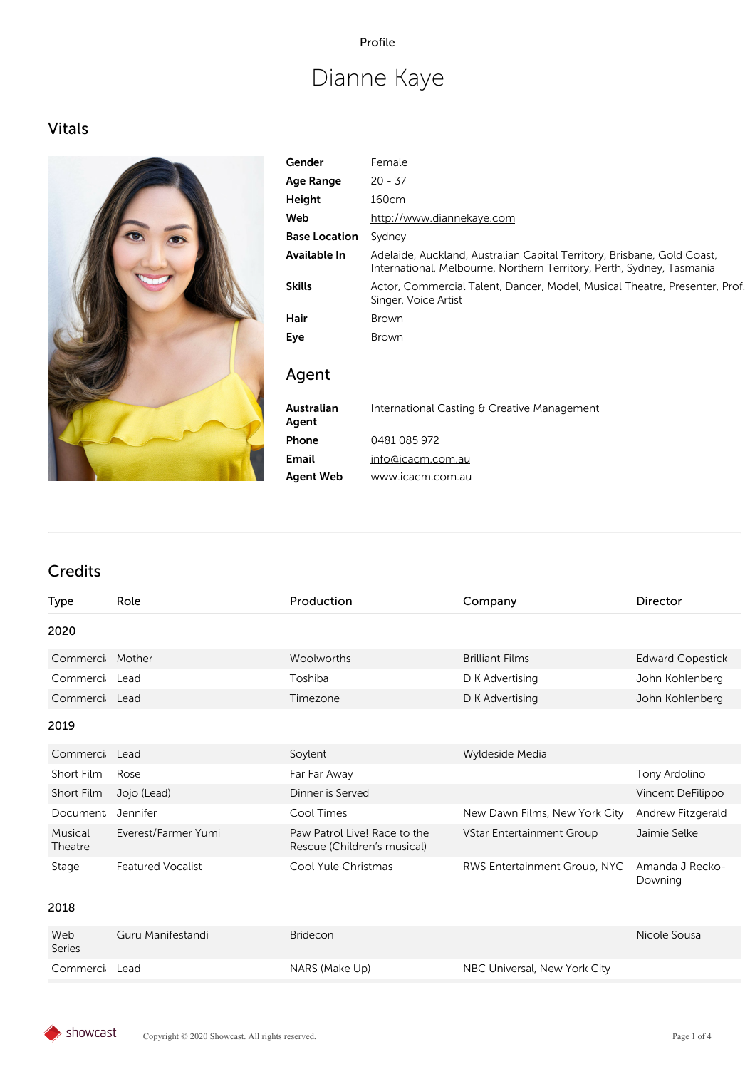#### Profile

# Dianne Kaye

# Vitals



| Gender               | Female                                                                                                                                           |
|----------------------|--------------------------------------------------------------------------------------------------------------------------------------------------|
| Age Range            | $20 - 37$                                                                                                                                        |
| Height               | 160cm                                                                                                                                            |
| Web                  | http://www.diannekaye.com                                                                                                                        |
| <b>Base Location</b> | Sydney                                                                                                                                           |
| Available In         | Adelaide, Auckland, Australian Capital Territory, Brisbane, Gold Coast,<br>International, Melbourne, Northern Territory, Perth, Sydney, Tasmania |
| <b>Skills</b>        | Actor, Commercial Talent, Dancer, Model, Musical Theatre, Presenter, Prof.<br>Singer, Voice Artist                                               |
| Hair                 | <b>Brown</b>                                                                                                                                     |
| Eye                  | <b>Brown</b>                                                                                                                                     |
| Agent                |                                                                                                                                                  |
| Australian<br>Agent  | International Casting & Creative Management                                                                                                      |
| Phone                | 0481 085 972                                                                                                                                     |
| Email                | info@icacm.com.au                                                                                                                                |
| <b>Agent Web</b>     | www.icacm.com.au                                                                                                                                 |

# Credits

| <b>Type</b>        | Role                      | Production                                                  | Company                       | <b>Director</b>                        |
|--------------------|---------------------------|-------------------------------------------------------------|-------------------------------|----------------------------------------|
| 2020               |                           |                                                             |                               |                                        |
| Commerci           | Mother                    | Woolworths                                                  | <b>Brilliant Films</b>        | <b>Edward Copestick</b>                |
| Commerci           | Lead                      | Toshiba                                                     | D K Advertising               | John Kohlenberg                        |
| Commerci           | Lead                      | Timezone                                                    | D K Advertising               | John Kohlenberg                        |
| 2019               |                           |                                                             |                               |                                        |
| Commerci           | Lead                      | Soylent                                                     | Wyldeside Media               |                                        |
| Short Film         | Rose                      | Far Far Away                                                |                               | Tony Ardolino                          |
| Short Film         | Jojo (Lead)               | Dinner is Served                                            |                               | Vincent DeFilippo                      |
| Document           | Jennifer                  | Cool Times                                                  | New Dawn Films, New York City | Andrew Fitzgerald                      |
| Musical<br>Theatre | Everest/Farmer Yumi       | Paw Patrol Live! Race to the<br>Rescue (Children's musical) | VStar Entertainment Group     | Jaimie Selke                           |
| Stage<br>2018      | <b>Featured Vocalist</b>  | Cool Yule Christmas                                         | RWS Entertainment Group, NYC  | Amanda J Recko-<br>Downing             |
| $\mathbf{M}$       | $\sim$ $\mu$ $\sim$ $\mu$ | $\sim$ $\sim$ $\sim$                                        |                               | $\mathbf{v}$ $\mathbf{v}$ $\mathbf{v}$ |

| Web           | Guru Manifestandi | <b>Bridecon</b> |                              | Nicole Sousa |
|---------------|-------------------|-----------------|------------------------------|--------------|
| Series        |                   |                 |                              |              |
| Commerci Lead |                   | NARS (Make Up)  | NBC Universal, New York City |              |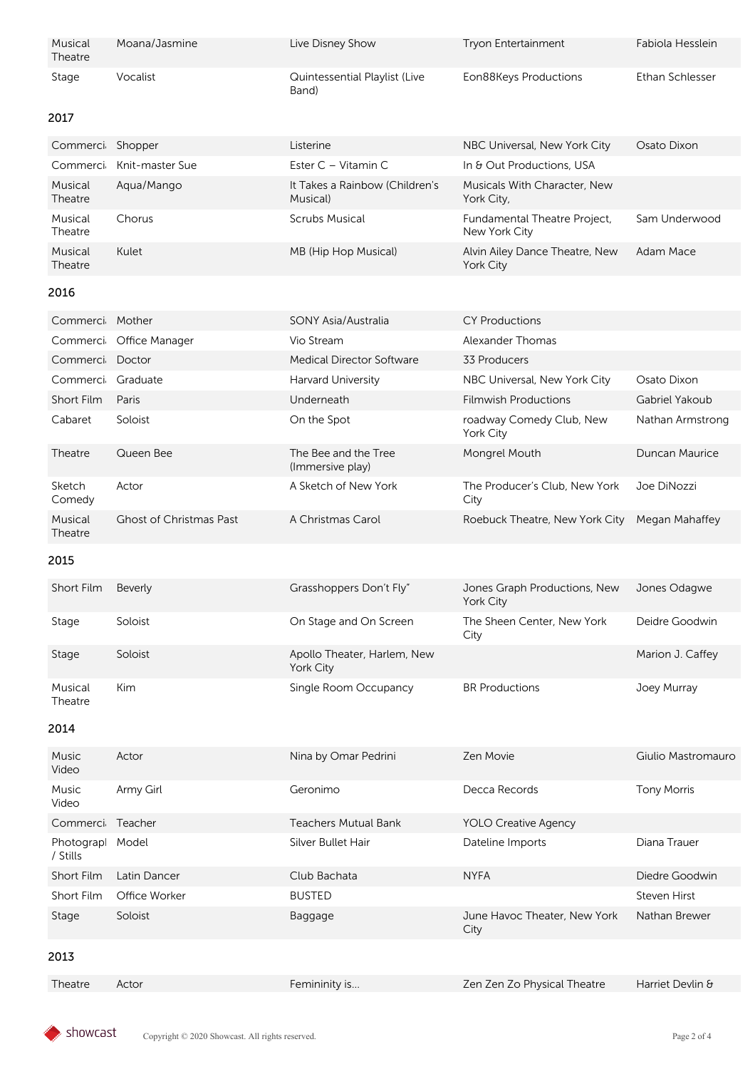| Musical<br>Theatre | Moana/Jasmine | Live Disney Show                       | <b>Tryon Entertainment</b> | Fabiola Hesslein |
|--------------------|---------------|----------------------------------------|----------------------------|------------------|
| Stage              | Vocalist      | Quintessential Playlist (Live<br>Band) | Eon88Keys Productions      | Ethan Schlesser  |

#### 2017

| Commerci Shopper   |                 | Listerine                                  | NBC Universal, New York City                       | Osato Dixon   |
|--------------------|-----------------|--------------------------------------------|----------------------------------------------------|---------------|
| Commerci           | Knit-master Sue | Ester C – Vitamin C                        | In & Out Productions, USA                          |               |
| Musical<br>Theatre | Agua/Mango      | It Takes a Rainbow (Children's<br>Musical) | Musicals With Character, New<br>York City,         |               |
| Musical<br>Theatre | Chorus          | Scrubs Musical                             | Fundamental Theatre Project,<br>New York City      | Sam Underwood |
| Musical<br>Theatre | Kulet           | MB (Hip Hop Musical)                       | Alvin Ailey Dance Theatre, New<br><b>York City</b> | Adam Mace     |

#### 2016

| Commerci Mother    |                                | <b>SONY Asia/Australia</b>               | <b>CY Productions</b>                        |                  |
|--------------------|--------------------------------|------------------------------------------|----------------------------------------------|------------------|
|                    | Commerci Office Manager        | Vio Stream                               | Alexander Thomas                             |                  |
| Commerci           | Doctor                         | Medical Director Software                | 33 Producers                                 |                  |
| Commerci           | Graduate                       | <b>Harvard University</b>                | NBC Universal, New York City                 | Osato Dixon      |
| Short Film         | Paris                          | Underneath                               | <b>Filmwish Productions</b>                  | Gabriel Yakoub   |
| Cabaret            | Soloist                        | On the Spot                              | roadway Comedy Club, New<br><b>York City</b> | Nathan Armstrong |
| Theatre            | Queen Bee                      | The Bee and the Tree<br>(Immersive play) | Mongrel Mouth                                | Duncan Maurice   |
| Sketch<br>Comedy   | Actor                          | A Sketch of New York                     | The Producer's Club. New York<br>City        | Joe DiNozzi      |
| Musical<br>Theatre | <b>Ghost of Christmas Past</b> | A Christmas Carol                        | Roebuck Theatre, New York City               | Megan Mahaffey   |

#### 2015

| Short Film         | Beverly | Grasshoppers Don't Fly"                         | Jones Graph Productions, New<br>York City | Jones Odagwe     |
|--------------------|---------|-------------------------------------------------|-------------------------------------------|------------------|
| Stage              | Soloist | On Stage and On Screen                          | The Sheen Center, New York<br>City        | Deidre Goodwin   |
| Stage              | Soloist | Apollo Theater, Harlem, New<br><b>York City</b> |                                           | Marion J. Caffey |
| Musical<br>Theatre | Kim     | Single Room Occupancy                           | <b>BR</b> Productions                     | Joey Murray      |

#### 2014

| <b>Music</b><br>Video | Actor         | Nina by Omar Pedrini        | Zen Movie                            | Giulio Mastromauro |
|-----------------------|---------------|-----------------------------|--------------------------------------|--------------------|
| <b>Music</b><br>Video | Army Girl     | Geronimo                    | Decca Records                        | <b>Tony Morris</b> |
| Commerci              | Teacher       | <b>Teachers Mutual Bank</b> | <b>YOLO Creative Agency</b>          |                    |
| Photograp<br>/ Stills | Model         | Silver Bullet Hair          | Dateline Imports                     | Diana Trauer       |
| Short Film            | Latin Dancer  | Club Bachata                | <b>NYFA</b>                          | Diedre Goodwin     |
| Short Film            | Office Worker | <b>BUSTED</b>               |                                      | Steven Hirst       |
| Stage                 | Soloist       | Baggage                     | June Havoc Theater, New York<br>City | Nathan Brewer      |
| 0017                  |               |                             |                                      |                    |

#### 2013

Theatre Actor **Femininity is... Example 2** Extending Theatre Harriet Devlin &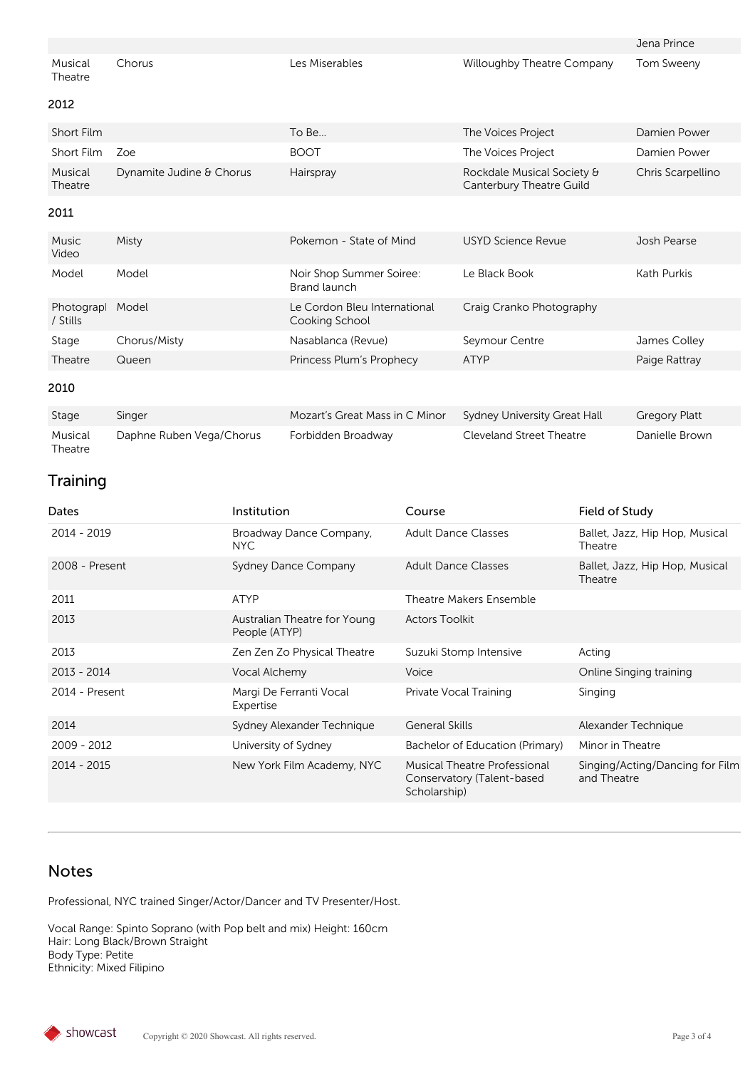|                    |        |                |                            | Jena Prince |
|--------------------|--------|----------------|----------------------------|-------------|
| Musical<br>Theatre | Chorus | Les Miserables | Willoughby Theatre Company | Tom Sweeny  |

#### 2012

| <b>Short Film</b>  |                          | To Be…      | The Voices Project                                     | Damien Power      |
|--------------------|--------------------------|-------------|--------------------------------------------------------|-------------------|
| Short Film         | Zoe                      | <b>BOOT</b> | The Voices Project                                     | Damien Power      |
| Musical<br>Theatre | Dynamite Judine & Chorus | Hairspray   | Rockdale Musical Society &<br>Canterbury Theatre Guild | Chris Scarpellino |
|                    |                          |             |                                                        |                   |

#### 2011

| <b>Music</b><br>Video | Misty        | Pokemon - State of Mind                        | USYD Science Revue       | Josh Pearse   |
|-----------------------|--------------|------------------------------------------------|--------------------------|---------------|
| Model                 | Model        | Noir Shop Summer Soiree:<br>Brand launch       | Le Black Book            | Kath Purkis   |
| Photograp<br>/ Stills | Model        | Le Cordon Bleu International<br>Cooking School | Craig Cranko Photography |               |
| Stage                 | Chorus/Misty | Nasablanca (Revue)                             | Seymour Centre           | James Colley  |
| Theatre               | Queen        | Princess Plum's Prophecy                       | <b>ATYP</b>              | Paige Rattray |
| 2010                  |              |                                                |                          |               |
|                       |              |                                                |                          |               |

| Stage              | Singer                   | Mozart's Great Mass in C Minor Sydney University Great Hall |                          | Gregory Platt  |
|--------------------|--------------------------|-------------------------------------------------------------|--------------------------|----------------|
| Musical<br>Theatre | Daphne Ruben Vega/Chorus | Forbidden Broadway                                          | Cleveland Street Theatre | Danielle Brown |

# **Training**

| Dates          | Institution                                   | Course                                                                            | Field of Study                                 |
|----------------|-----------------------------------------------|-----------------------------------------------------------------------------------|------------------------------------------------|
| 2014 - 2019    | Broadway Dance Company,<br>NYC.               | <b>Adult Dance Classes</b>                                                        | Ballet, Jazz, Hip Hop, Musical<br>Theatre      |
| 2008 - Present | <b>Sydney Dance Company</b>                   | <b>Adult Dance Classes</b>                                                        | Ballet, Jazz, Hip Hop, Musical<br>Theatre      |
| 2011           | <b>ATYP</b>                                   | Theatre Makers Ensemble                                                           |                                                |
| 2013           | Australian Theatre for Young<br>People (ATYP) | <b>Actors Toolkit</b>                                                             |                                                |
| 2013           | Zen Zen Zo Physical Theatre                   | Suzuki Stomp Intensive                                                            | Acting                                         |
| 2013 - 2014    | Vocal Alchemy                                 | Voice                                                                             | Online Singing training                        |
| 2014 - Present | Margi De Ferranti Vocal<br>Expertise          | Private Vocal Training                                                            | Singing                                        |
| 2014           | Sydney Alexander Technique                    | <b>General Skills</b>                                                             | Alexander Technique                            |
| 2009 - 2012    | University of Sydney                          | Bachelor of Education (Primary)                                                   | Minor in Theatre                               |
| 2014 - 2015    | New York Film Academy, NYC                    | <b>Musical Theatre Professional</b><br>Conservatory (Talent-based<br>Scholarship) | Singing/Acting/Dancing for Film<br>and Theatre |

### Notes

Professional, NYC trained Singer/Actor/Dancer and TV Presenter/Host.

Vocal Range: Spinto Soprano (with Pop belt and mix) Height: 160cm Hair: Long Black/Brown Straight Body Type: Petite Ethnicity: Mixed Filipino